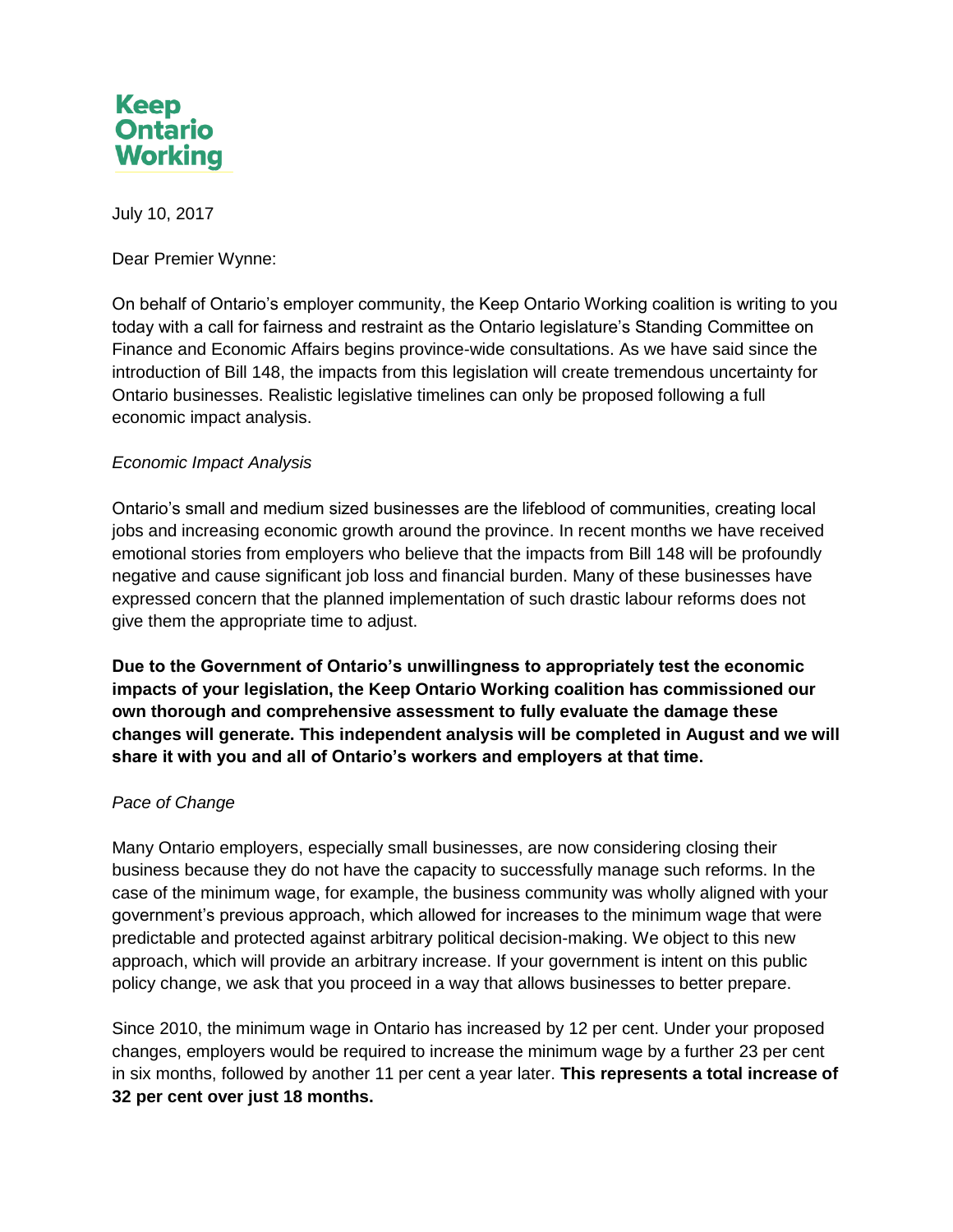

July 10, 2017

Dear Premier Wynne:

On behalf of Ontario's employer community, the Keep Ontario Working coalition is writing to you today with a call for fairness and restraint as the Ontario legislature's Standing Committee on Finance and Economic Affairs begins province-wide consultations. As we have said since the introduction of Bill 148, the impacts from this legislation will create tremendous uncertainty for Ontario businesses. Realistic legislative timelines can only be proposed following a full economic impact analysis.

## *Economic Impact Analysis*

Ontario's small and medium sized businesses are the lifeblood of communities, creating local jobs and increasing economic growth around the province. In recent months we have received emotional stories from employers who believe that the impacts from Bill 148 will be profoundly negative and cause significant job loss and financial burden. Many of these businesses have expressed concern that the planned implementation of such drastic labour reforms does not give them the appropriate time to adjust.

**Due to the Government of Ontario's unwillingness to appropriately test the economic impacts of your legislation, the Keep Ontario Working coalition has commissioned our own thorough and comprehensive assessment to fully evaluate the damage these changes will generate. This independent analysis will be completed in August and we will share it with you and all of Ontario's workers and employers at that time.** 

## *Pace of Change*

Many Ontario employers, especially small businesses, are now considering closing their business because they do not have the capacity to successfully manage such reforms. In the case of the minimum wage, for example, the business community was wholly aligned with your government's previous approach, which allowed for increases to the minimum wage that were predictable and protected against arbitrary political decision-making. We object to this new approach, which will provide an arbitrary increase. If your government is intent on this public policy change, we ask that you proceed in a way that allows businesses to better prepare.

Since 2010, the minimum wage in Ontario has increased by 12 per cent. Under your proposed changes, employers would be required to increase the minimum wage by a further 23 per cent in six months, followed by another 11 per cent a year later. **This represents a total increase of 32 per cent over just 18 months.**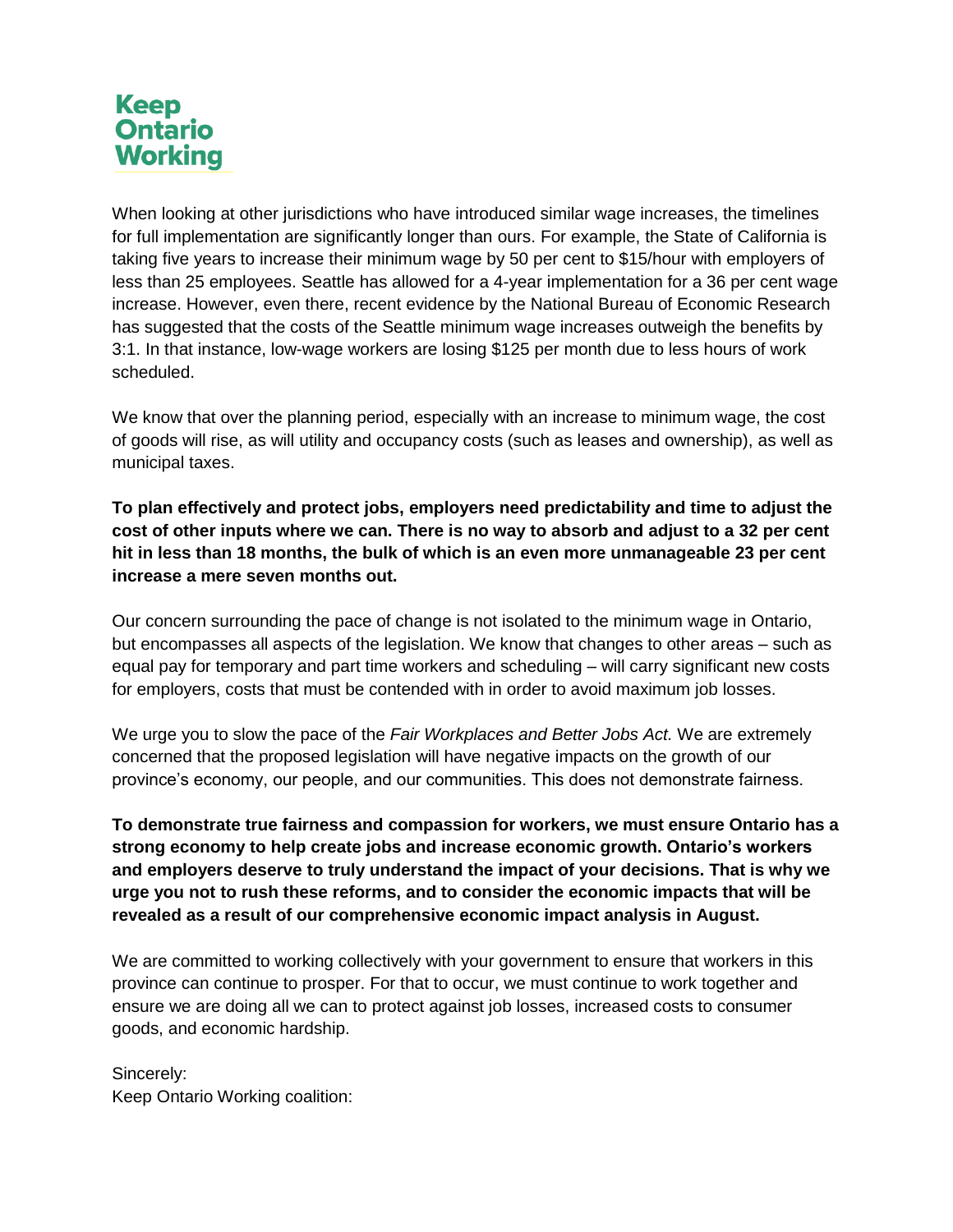## **Keep Ontario Working**

When looking at other jurisdictions who have introduced similar wage increases, the timelines for full implementation are significantly longer than ours. For example, the State of California is taking five years to increase their minimum wage by 50 per cent to \$15/hour with employers of less than 25 employees. Seattle has allowed for a 4-year implementation for a 36 per cent wage increase. However, even there, recent evidence by the National Bureau of Economic Research has suggested that the costs of the Seattle minimum wage increases outweigh the benefits by 3:1. In that instance, low-wage workers are losing \$125 per month due to less hours of work scheduled.

We know that over the planning period, especially with an increase to minimum wage, the cost of goods will rise, as will utility and occupancy costs (such as leases and ownership), as well as municipal taxes.

**To plan effectively and protect jobs, employers need predictability and time to adjust the cost of other inputs where we can. There is no way to absorb and adjust to a 32 per cent hit in less than 18 months, the bulk of which is an even more unmanageable 23 per cent increase a mere seven months out.**

Our concern surrounding the pace of change is not isolated to the minimum wage in Ontario, but encompasses all aspects of the legislation. We know that changes to other areas – such as equal pay for temporary and part time workers and scheduling – will carry significant new costs for employers, costs that must be contended with in order to avoid maximum job losses.

We urge you to slow the pace of the *Fair Workplaces and Better Jobs Act.* We are extremely concerned that the proposed legislation will have negative impacts on the growth of our province's economy, our people, and our communities. This does not demonstrate fairness.

**To demonstrate true fairness and compassion for workers, we must ensure Ontario has a strong economy to help create jobs and increase economic growth. Ontario's workers and employers deserve to truly understand the impact of your decisions. That is why we urge you not to rush these reforms, and to consider the economic impacts that will be revealed as a result of our comprehensive economic impact analysis in August.** 

We are committed to working collectively with your government to ensure that workers in this province can continue to prosper. For that to occur, we must continue to work together and ensure we are doing all we can to protect against job losses, increased costs to consumer goods, and economic hardship.

Sincerely: Keep Ontario Working coalition: